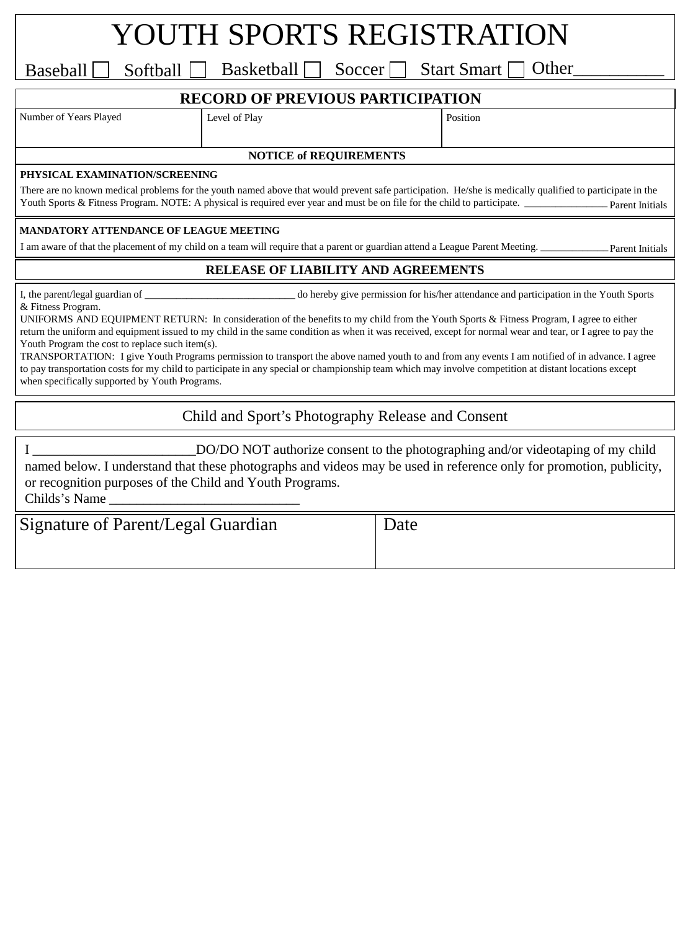## YOUTH SPORTS REGISTRATION

Baseball Softball Basketball Soccer Start Smart Other

### **RECORD OF PREVIOUS PARTICIPATION**

Number of Years Played Level of Play Position

#### **NOTICE of REQUIREMENTS**

#### **PHYSICAL EXAMINATION/SCREENING**

There are no known medical problems for the youth named above that would prevent safe participation. He/she is medically qualified to participate in the Youth Sports & Fitness Program. NOTE: A physical is required ever year and must be on file for the child to participate. \_ Parent Initials

#### **MANDATORY ATTENDANCE OF LEAGUE MEETING**

I am aware of that the placement of my child on a team will require that a parent or guardian attend a League Parent Meeting.

Parent Initials

#### **RELEASE OF LIABILITY AND AGREEMENTS**

& Fitness Program.

I, the parent/legal guardian of \_\_\_\_\_\_\_\_\_\_\_\_\_\_\_\_\_\_\_\_\_\_\_\_\_\_\_\_\_ do hereby give permission for his/her attendance and participation in the Youth Sports

UNIFORMS AND EQUIPMENT RETURN: In consideration of the benefits to my child from the Youth Sports & Fitness Program, I agree to either return the uniform and equipment issued to my child in the same condition as when it was received, except for normal wear and tear, or I agree to pay the Youth Program the cost to replace such item(s).

TRANSPORTATION: I give Youth Programs permission to transport the above named youth to and from any events I am notified of in advance. I agree to pay transportation costs for my child to participate in any special or championship team which may involve competition at distant locations except when specifically supported by Youth Programs.

Child and Sport's Photography Release and Consent

I \_\_\_\_\_\_\_\_\_\_\_\_\_\_\_\_\_\_\_\_\_\_\_\_DO/DO NOT authorize consent to the photographing and/or videotaping of my child named below. I understand that these photographs and videos may be used in reference only for promotion, publicity, or recognition purposes of the Child and Youth Programs. Childs's Name \_\_\_\_\_\_\_\_\_\_\_\_\_\_\_\_\_\_\_\_\_\_\_\_\_\_\_\_

| Signature of Parent/Legal Guardian | Date |
|------------------------------------|------|
|                                    |      |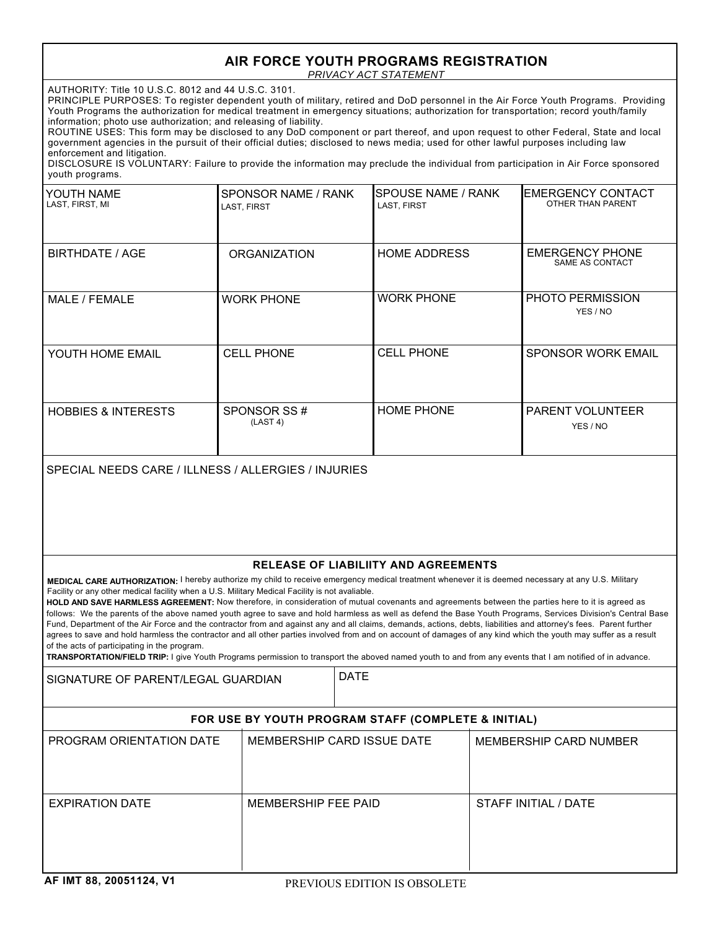## **AIR FORCE YOUTH PROGRAMS REGISTRATION**

*PRIVACY ACT STATEMENT*

AUTHORITY: Title 10 U.S.C. 8012 and 44 U.S.C. 3101.

PRINCIPLE PURPOSES: To register dependent youth of military, retired and DoD personnel in the Air Force Youth Programs. Providing Youth Programs the authorization for medical treatment in emergency situations; authorization for transportation; record youth/family information; photo use authorization; and releasing of liability.

ROUTINE USES: This form may be disclosed to any DoD component or part thereof, and upon request to other Federal, State and local government agencies in the pursuit of their official duties; disclosed to news media; used for other lawful purposes including law enforcement and litigation.

DISCLOSURE IS VOLUNTARY: Failure to provide the information may preclude the individual from participation in Air Force sponsored youth programs.

| YOUTH NAME<br>LAST, FIRST, MI  | SPONSOR NAME / RANK<br>LAST, FIRST | <b>SPOUSE NAME / RANK</b><br>LAST, FIRST | <b>IEMERGENCY CONTACT</b><br>OTHER THAN PARENT |
|--------------------------------|------------------------------------|------------------------------------------|------------------------------------------------|
| BIRTHDATE / AGE                | <b>ORGANIZATION</b>                | <b>HOME ADDRESS</b>                      | <b>EMERGENCY PHONE</b><br>SAME AS CONTACT      |
| MALE / FEMALE                  | <b>WORK PHONE</b>                  | <b>WORK PHONE</b>                        | PHOTO PERMISSION<br>YES / NO                   |
| YOUTH HOME EMAIL               | <b>CELL PHONE</b>                  | <b>CELL PHONE</b>                        | <b>SPONSOR WORK EMAIL</b>                      |
| <b>HOBBIES &amp; INTERESTS</b> | SPONSOR SS#<br>(LAST 4)            | <b>HOME PHONE</b>                        | <b>PARENT VOLUNTEER</b><br>YES / NO            |

SPECIAL NEEDS CARE / ILLNESS / ALLERGIES / INJURIES

#### **RELEASE OF LIABILIITY AND AGREEMENTS**

**MEDICAL CARE AUTHORIZATION:** I hereby authorize my child to receive emergency medical treatment whenever it is deemed necessary at any U.S. Military Facility or any other medical facility when a U.S. Military Medical Facility is not avaliable.

HOLD AND SAVE HARMLESS AGREEMENT: Now therefore, in consideration of mutual covenants and agreements between the parties here to it is agreed as follows: We the parents of the above named youth agree to save and hold harmless as well as defend the Base Youth Programs, Services Division's Central Base Fund, Department of the Air Force and the contractor from and against any and all claims, demands, actions, debts, liabilities and attorney's fees. Parent further agrees to save and hold harmless the contractor and all other parties involved from and on account of damages of any kind which the youth may suffer as a result of the acts of participating in the program.

**TRANSPORTATION/FIELD TRIP:** I give Youth Programs permission to transport the aboved named youth to and from any events that I am notified of in advance.

SIGNATURE OF PARENT/LEGAL GUARDIAN PATE

#### **FOR USE BY YOUTH PROGRAM STAFF (COMPLETE & INITIAL)**

| PROGRAM ORIENTATION DATE | MEMBERSHIP CARD ISSUE DATE | MEMBERSHIP CARD NUMBER |
|--------------------------|----------------------------|------------------------|
| <b>EXPIRATION DATE</b>   | MEMBERSHIP FEE PAID        | STAFF INITIAL / DATE   |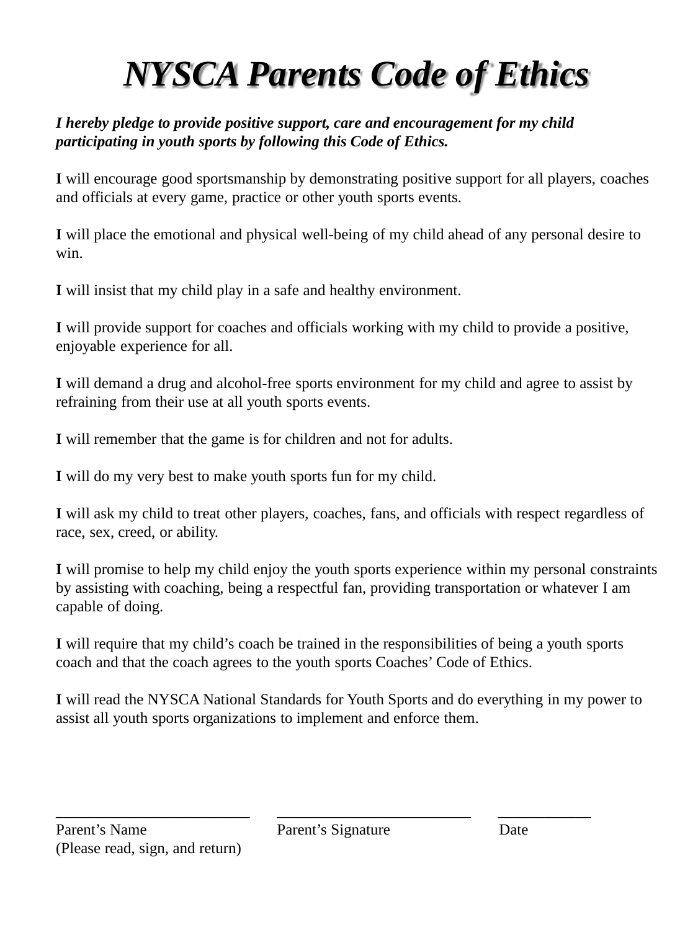# *NYSCA Parents Code of Ethics*

## *I hereby pledge to provide positive support, care and encouragement for my child participating in youth sports by following this Code of Ethics.*

**I** will encourage good sportsmanship by demonstrating positive support for all players, coaches and officials at every game, practice or other youth sports events.

**I** will place the emotional and physical well-being of my child ahead of any personal desire to win.

**I** will insist that my child play in a safe and healthy environment.

**I** will provide support for coaches and officials working with my child to provide a positive, enjoyable experience for all.

**I** will demand a drug and alcohol-free sports environment for my child and agree to assist by refraining from their use at all youth sports events.

**I** will remember that the game is for children and not for adults.

**I** will do my very best to make youth sports fun for my child.

**I** will ask my child to treat other players, coaches, fans, and officials with respect regardless of race, sex, creed, or ability.

**I** will promise to help my child enjoy the youth sports experience within my personal constraints by assisting with coaching, being a respectful fan, providing transportation or whatever I am capable of doing.

**I** will require that my child's coach be trained in the responsibilities of being a youth sports coach and that the coach agrees to the youth sports Coaches' Code of Ethics.

**I** will read the NYSCA National Standards for Youth Sports and do everything in my power to assist all youth sports organizations to implement and enforce them.

\_\_\_\_\_\_\_\_\_\_\_\_\_\_\_\_\_\_\_\_\_\_\_\_\_ \_\_\_\_\_\_\_\_\_\_\_\_\_\_\_\_\_\_\_\_\_\_\_\_\_ \_\_\_\_\_\_\_\_\_\_\_\_